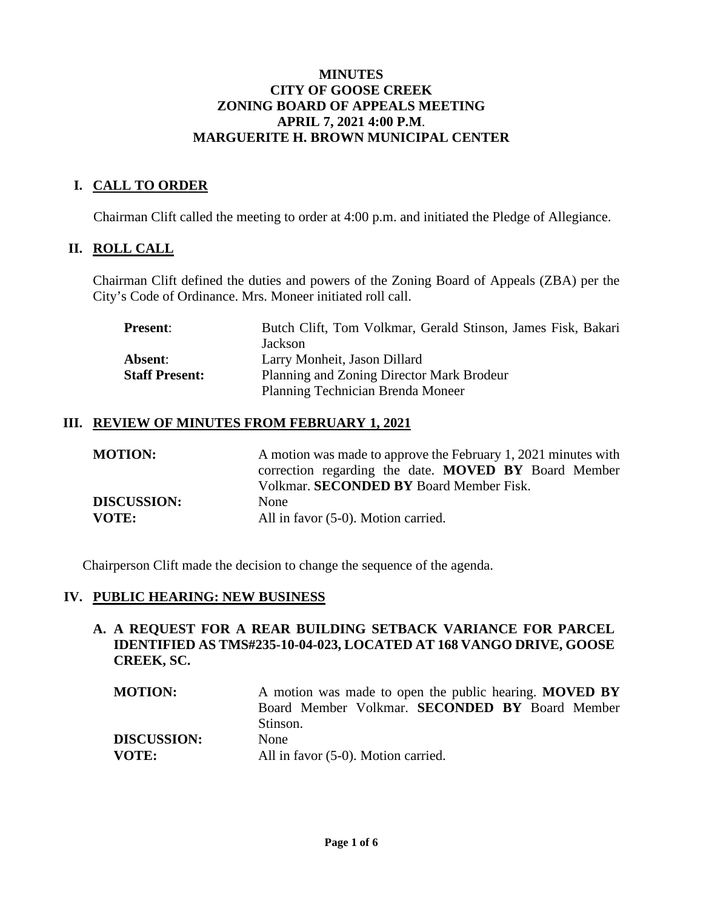#### **MINUTES CITY OF GOOSE CREEK ZONING BOARD OF APPEALS MEETING APRIL 7, 2021 4:00 P.M**. **MARGUERITE H. BROWN MUNICIPAL CENTER**

## **I. CALL TO ORDER**

Chairman Clift called the meeting to order at 4:00 p.m. and initiated the Pledge of Allegiance.

## **II. ROLL CALL**

Chairman Clift defined the duties and powers of the Zoning Board of Appeals (ZBA) per the City's Code of Ordinance. Mrs. Moneer initiated roll call.

| <b>Present:</b>       | Butch Clift, Tom Volkmar, Gerald Stinson, James Fisk, Bakari |
|-----------------------|--------------------------------------------------------------|
|                       | Jackson                                                      |
| Absent:               | Larry Monheit, Jason Dillard                                 |
| <b>Staff Present:</b> | Planning and Zoning Director Mark Brodeur                    |
|                       | Planning Technician Brenda Moneer                            |

### **III. REVIEW OF MINUTES FROM FEBRUARY 1, 2021**

| <b>MOTION:</b>     | A motion was made to approve the February 1, 2021 minutes with |
|--------------------|----------------------------------------------------------------|
|                    | correction regarding the date. MOVED BY Board Member           |
|                    | Volkmar. SECONDED BY Board Member Fisk.                        |
| <b>DISCUSSION:</b> | None                                                           |
| <b>VOTE:</b>       | All in favor (5-0). Motion carried.                            |

Chairperson Clift made the decision to change the sequence of the agenda.

#### **IV. PUBLIC HEARING: NEW BUSINESS**

### **A. A REQUEST FOR A REAR BUILDING SETBACK VARIANCE FOR PARCEL IDENTIFIED AS TMS#235-10-04-023, LOCATED AT 168 VANGO DRIVE, GOOSE CREEK, SC.**

**MOTION:** A motion was made to open the public hearing. **MOVED BY** Board Member Volkmar. **SECONDED BY** Board Member Stinson. **DISCUSSION:** None **VOTE:** All in favor (5-0). Motion carried.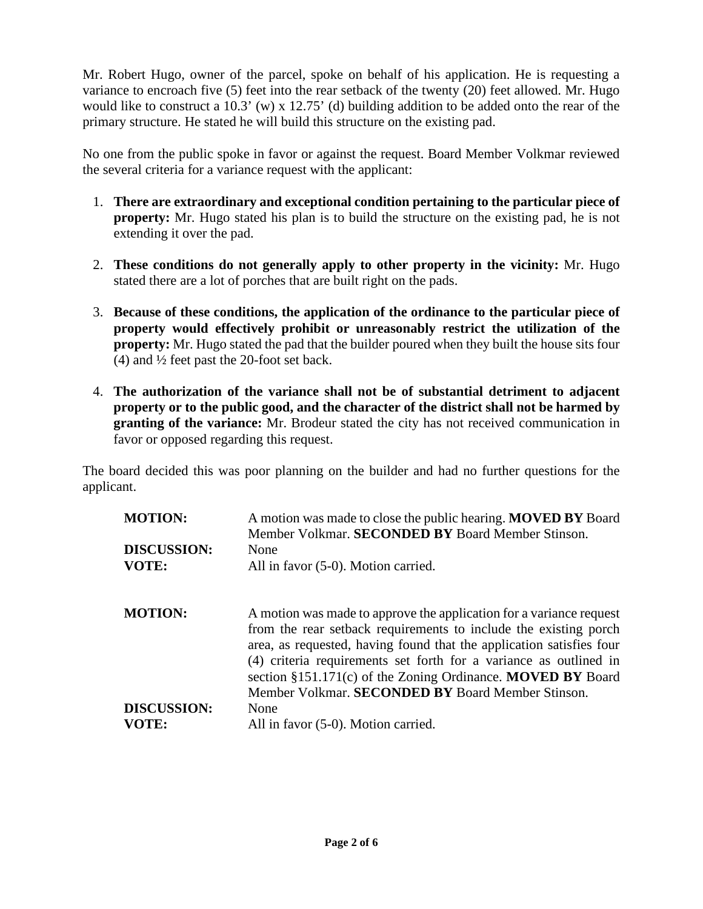Mr. Robert Hugo, owner of the parcel, spoke on behalf of his application. He is requesting a variance to encroach five (5) feet into the rear setback of the twenty (20) feet allowed. Mr. Hugo would like to construct a 10.3' (w) x 12.75' (d) building addition to be added onto the rear of the primary structure. He stated he will build this structure on the existing pad.

No one from the public spoke in favor or against the request. Board Member Volkmar reviewed the several criteria for a variance request with the applicant:

- 1. **There are extraordinary and exceptional condition pertaining to the particular piece of property:** Mr. Hugo stated his plan is to build the structure on the existing pad, he is not extending it over the pad.
- 2. **These conditions do not generally apply to other property in the vicinity:** Mr. Hugo stated there are a lot of porches that are built right on the pads.
- 3. **Because of these conditions, the application of the ordinance to the particular piece of property would effectively prohibit or unreasonably restrict the utilization of the property:** Mr. Hugo stated the pad that the builder poured when they built the house sits four (4) and ½ feet past the 20-foot set back.
- 4. **The authorization of the variance shall not be of substantial detriment to adjacent property or to the public good, and the character of the district shall not be harmed by granting of the variance:** Mr. Brodeur stated the city has not received communication in favor or opposed regarding this request.

The board decided this was poor planning on the builder and had no further questions for the applicant.

| <b>MOTION:</b>     | A motion was made to close the public hearing. <b>MOVED BY</b> Board<br>Member Volkmar. SECONDED BY Board Member Stinson.                                                                                                                                                             |
|--------------------|---------------------------------------------------------------------------------------------------------------------------------------------------------------------------------------------------------------------------------------------------------------------------------------|
| <b>DISCUSSION:</b> | None                                                                                                                                                                                                                                                                                  |
| VOTE:              | All in favor (5-0). Motion carried.                                                                                                                                                                                                                                                   |
| <b>MOTION:</b>     | A motion was made to approve the application for a variance request                                                                                                                                                                                                                   |
|                    | from the rear setback requirements to include the existing porch<br>area, as requested, having found that the application satisfies four<br>(4) criteria requirements set forth for a variance as outlined in<br>section $§151.171(c)$ of the Zoning Ordinance. <b>MOVED BY</b> Board |
|                    | Member Volkmar. SECONDED BY Board Member Stinson.                                                                                                                                                                                                                                     |
| <b>DISCUSSION:</b> | None                                                                                                                                                                                                                                                                                  |
| VOTE:              | All in favor (5-0). Motion carried.                                                                                                                                                                                                                                                   |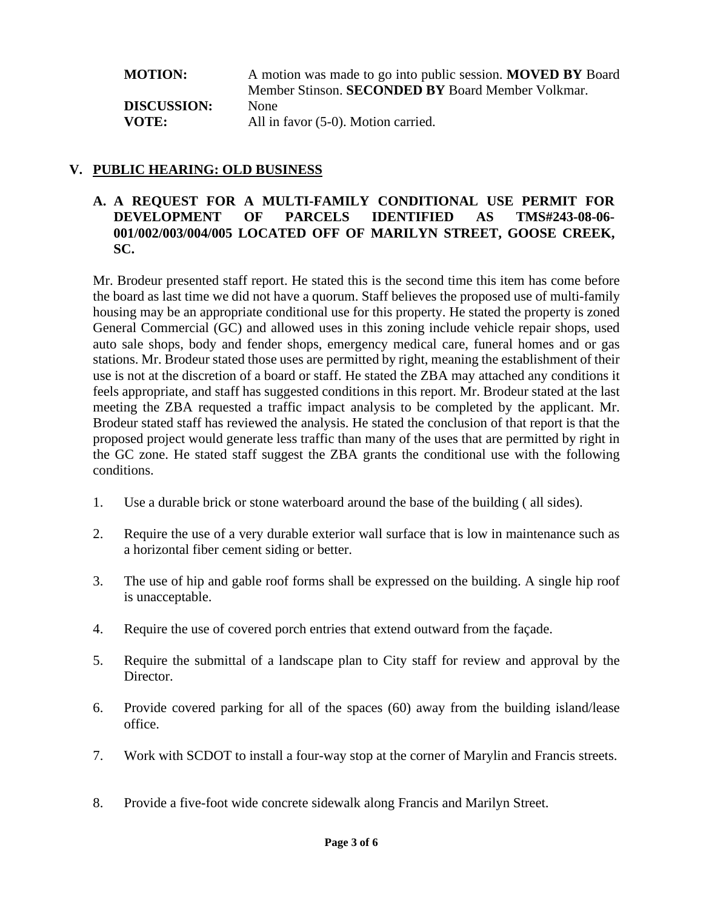**MOTION:** A motion was made to go into public session. **MOVED BY** Board Member Stinson. **SECONDED BY** Board Member Volkmar. **DISCUSSION:** None **VOTE:** All in favor (5-0). Motion carried.

## **V. PUBLIC HEARING: OLD BUSINESS**

## **A. A REQUEST FOR A MULTI-FAMILY CONDITIONAL USE PERMIT FOR DEVELOPMENT OF PARCELS IDENTIFIED AS TMS#243-08-06- 001/002/003/004/005 LOCATED OFF OF MARILYN STREET, GOOSE CREEK, SC.**

Mr. Brodeur presented staff report. He stated this is the second time this item has come before the board as last time we did not have a quorum. Staff believes the proposed use of multi-family housing may be an appropriate conditional use for this property. He stated the property is zoned General Commercial (GC) and allowed uses in this zoning include vehicle repair shops, used auto sale shops, body and fender shops, emergency medical care, funeral homes and or gas stations. Mr. Brodeur stated those uses are permitted by right, meaning the establishment of their use is not at the discretion of a board or staff. He stated the ZBA may attached any conditions it feels appropriate, and staff has suggested conditions in this report. Mr. Brodeur stated at the last meeting the ZBA requested a traffic impact analysis to be completed by the applicant. Mr. Brodeur stated staff has reviewed the analysis. He stated the conclusion of that report is that the proposed project would generate less traffic than many of the uses that are permitted by right in the GC zone. He stated staff suggest the ZBA grants the conditional use with the following conditions.

- 1. Use a durable brick or stone waterboard around the base of the building ( all sides).
- 2. Require the use of a very durable exterior wall surface that is low in maintenance such as a horizontal fiber cement siding or better.
- 3. The use of hip and gable roof forms shall be expressed on the building. A single hip roof is unacceptable.
- 4. Require the use of covered porch entries that extend outward from the façade.
- 5. Require the submittal of a landscape plan to City staff for review and approval by the Director.
- 6. Provide covered parking for all of the spaces (60) away from the building island/lease office.
- 7. Work with SCDOT to install a four-way stop at the corner of Marylin and Francis streets.
- 8. Provide a five-foot wide concrete sidewalk along Francis and Marilyn Street.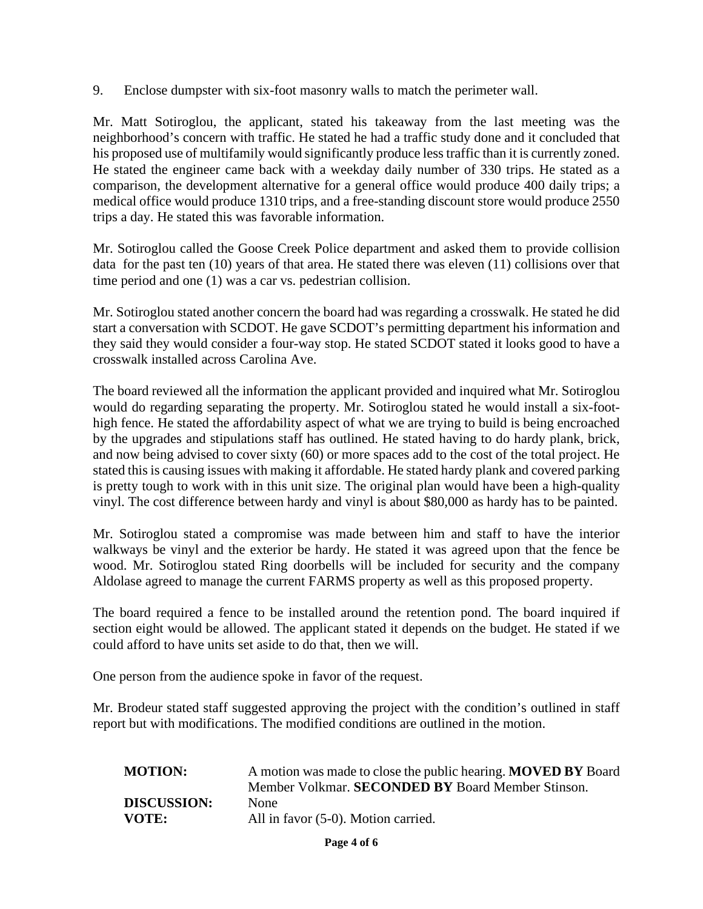9. Enclose dumpster with six-foot masonry walls to match the perimeter wall.

Mr. Matt Sotiroglou, the applicant, stated his takeaway from the last meeting was the neighborhood's concern with traffic. He stated he had a traffic study done and it concluded that his proposed use of multifamily would significantly produce less traffic than it is currently zoned. He stated the engineer came back with a weekday daily number of 330 trips. He stated as a comparison, the development alternative for a general office would produce 400 daily trips; a medical office would produce 1310 trips, and a free-standing discount store would produce 2550 trips a day. He stated this was favorable information.

Mr. Sotiroglou called the Goose Creek Police department and asked them to provide collision data for the past ten (10) years of that area. He stated there was eleven (11) collisions over that time period and one (1) was a car vs. pedestrian collision.

Mr. Sotiroglou stated another concern the board had was regarding a crosswalk. He stated he did start a conversation with SCDOT. He gave SCDOT's permitting department his information and they said they would consider a four-way stop. He stated SCDOT stated it looks good to have a crosswalk installed across Carolina Ave.

The board reviewed all the information the applicant provided and inquired what Mr. Sotiroglou would do regarding separating the property. Mr. Sotiroglou stated he would install a six-foothigh fence. He stated the affordability aspect of what we are trying to build is being encroached by the upgrades and stipulations staff has outlined. He stated having to do hardy plank, brick, and now being advised to cover sixty (60) or more spaces add to the cost of the total project. He stated this is causing issues with making it affordable. He stated hardy plank and covered parking is pretty tough to work with in this unit size. The original plan would have been a high-quality vinyl. The cost difference between hardy and vinyl is about \$80,000 as hardy has to be painted.

Mr. Sotiroglou stated a compromise was made between him and staff to have the interior walkways be vinyl and the exterior be hardy. He stated it was agreed upon that the fence be wood. Mr. Sotiroglou stated Ring doorbells will be included for security and the company Aldolase agreed to manage the current FARMS property as well as this proposed property.

The board required a fence to be installed around the retention pond. The board inquired if section eight would be allowed. The applicant stated it depends on the budget. He stated if we could afford to have units set aside to do that, then we will.

One person from the audience spoke in favor of the request.

Mr. Brodeur stated staff suggested approving the project with the condition's outlined in staff report but with modifications. The modified conditions are outlined in the motion.

| <b>MOTION:</b>     | A motion was made to close the public hearing. <b>MOVED BY</b> Board<br>Member Volkmar. SECONDED BY Board Member Stinson. |
|--------------------|---------------------------------------------------------------------------------------------------------------------------|
| <b>DISCUSSION:</b> | <b>None</b>                                                                                                               |
| VOTE:              | All in favor (5-0). Motion carried.                                                                                       |

**Page 4 of 6**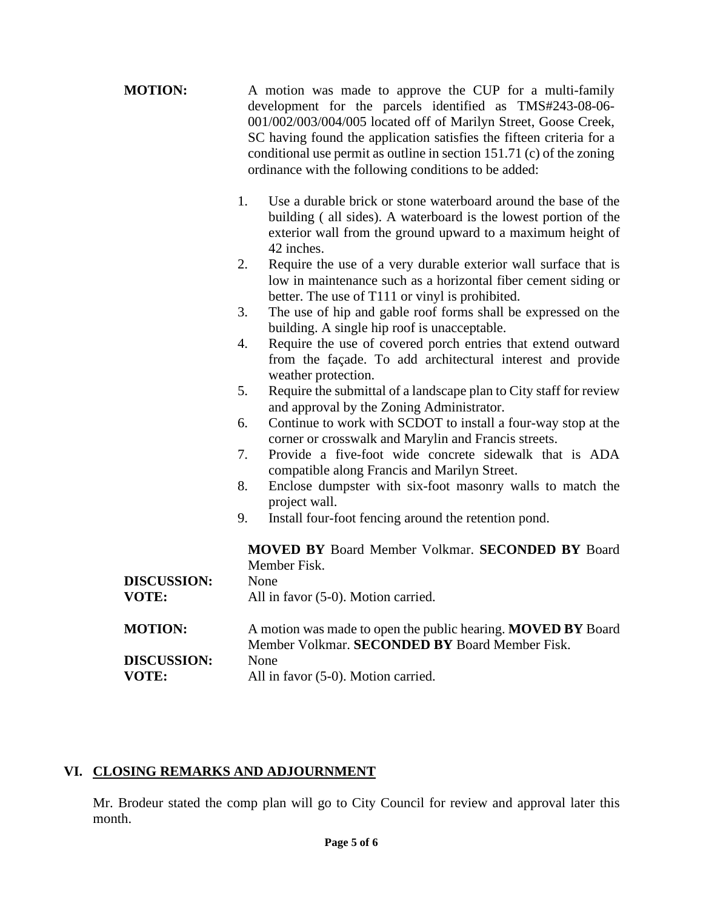| <b>MOTION:</b>     | A motion was made to approve the CUP for a multi-family<br>development for the parcels identified as TMS#243-08-06-<br>001/002/003/004/005 located off of Marilyn Street, Goose Creek,<br>SC having found the application satisfies the fifteen criteria for a<br>conditional use permit as outline in section 151.71 (c) of the zoning<br>ordinance with the following conditions to be added: |
|--------------------|-------------------------------------------------------------------------------------------------------------------------------------------------------------------------------------------------------------------------------------------------------------------------------------------------------------------------------------------------------------------------------------------------|
|                    | 1.<br>Use a durable brick or stone waterboard around the base of the<br>building (all sides). A waterboard is the lowest portion of the<br>exterior wall from the ground upward to a maximum height of<br>42 inches.                                                                                                                                                                            |
|                    | 2.<br>Require the use of a very durable exterior wall surface that is<br>low in maintenance such as a horizontal fiber cement siding or<br>better. The use of T111 or vinyl is prohibited.                                                                                                                                                                                                      |
|                    | 3.<br>The use of hip and gable roof forms shall be expressed on the<br>building. A single hip roof is unacceptable.                                                                                                                                                                                                                                                                             |
|                    | Require the use of covered porch entries that extend outward<br>4.<br>from the façade. To add architectural interest and provide<br>weather protection.                                                                                                                                                                                                                                         |
|                    | Require the submittal of a landscape plan to City staff for review<br>5.<br>and approval by the Zoning Administrator.                                                                                                                                                                                                                                                                           |
|                    | Continue to work with SCDOT to install a four-way stop at the<br>6.<br>corner or crosswalk and Marylin and Francis streets.                                                                                                                                                                                                                                                                     |
|                    | Provide a five-foot wide concrete sidewalk that is ADA<br>7.<br>compatible along Francis and Marilyn Street.                                                                                                                                                                                                                                                                                    |
|                    | 8.<br>Enclose dumpster with six-foot masonry walls to match the<br>project wall.                                                                                                                                                                                                                                                                                                                |
|                    | 9.<br>Install four-foot fencing around the retention pond.                                                                                                                                                                                                                                                                                                                                      |
|                    | <b>MOVED BY Board Member Volkmar. SECONDED BY Board</b><br>Member Fisk.                                                                                                                                                                                                                                                                                                                         |
| <b>DISCUSSION:</b> | None                                                                                                                                                                                                                                                                                                                                                                                            |
| <b>VOTE:</b>       | All in favor (5-0). Motion carried.                                                                                                                                                                                                                                                                                                                                                             |
| <b>MOTION:</b>     | A motion was made to open the public hearing. MOVED BY Board<br>Member Volkmar. SECONDED BY Board Member Fisk.                                                                                                                                                                                                                                                                                  |
| <b>DISCUSSION:</b> | None                                                                                                                                                                                                                                                                                                                                                                                            |
| VOTE:              | All in favor (5-0). Motion carried.                                                                                                                                                                                                                                                                                                                                                             |

# **VI. CLOSING REMARKS AND ADJOURNMENT**

Mr. Brodeur stated the comp plan will go to City Council for review and approval later this month.